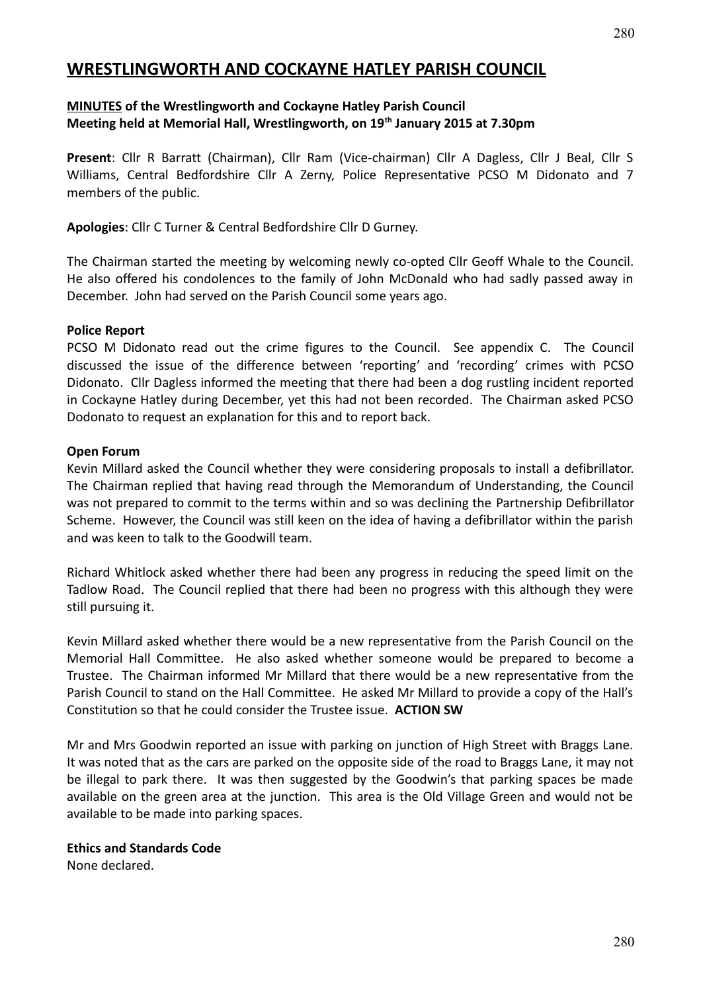# **WRESTLINGWORTH AND COCKAYNE HATLEY PARISH COUNCIL**

#### **MINUTES of the Wrestlingworth and Cockayne Hatley Parish Council Meeting held at Memorial Hall, Wrestlingworth, on 19th January 2015 at 7.30pm**

**Present**: Cllr R Barratt (Chairman), Cllr Ram (Vice-chairman) Cllr A Dagless, Cllr J Beal, Cllr S Williams, Central Bedfordshire Cllr A Zerny, Police Representative PCSO M Didonato and 7 members of the public.

**Apologies**: Cllr C Turner & Central Bedfordshire Cllr D Gurney.

The Chairman started the meeting by welcoming newly co-opted Cllr Geoff Whale to the Council. He also offered his condolences to the family of John McDonald who had sadly passed away in December. John had served on the Parish Council some years ago.

#### **Police Report**

PCSO M Didonato read out the crime figures to the Council. See appendix C. The Council discussed the issue of the difference between 'reporting' and 'recording' crimes with PCSO Didonato. Cllr Dagless informed the meeting that there had been a dog rustling incident reported in Cockayne Hatley during December, yet this had not been recorded. The Chairman asked PCSO Dodonato to request an explanation for this and to report back.

#### **Open Forum**

Kevin Millard asked the Council whether they were considering proposals to install a defibrillator. The Chairman replied that having read through the Memorandum of Understanding, the Council was not prepared to commit to the terms within and so was declining the Partnership Defibrillator Scheme. However, the Council was still keen on the idea of having a defibrillator within the parish and was keen to talk to the Goodwill team.

Richard Whitlock asked whether there had been any progress in reducing the speed limit on the Tadlow Road. The Council replied that there had been no progress with this although they were still pursuing it.

Kevin Millard asked whether there would be a new representative from the Parish Council on the Memorial Hall Committee. He also asked whether someone would be prepared to become a Trustee. The Chairman informed Mr Millard that there would be a new representative from the Parish Council to stand on the Hall Committee. He asked Mr Millard to provide a copy of the Hall's Constitution so that he could consider the Trustee issue. **ACTION SW**

Mr and Mrs Goodwin reported an issue with parking on junction of High Street with Braggs Lane. It was noted that as the cars are parked on the opposite side of the road to Braggs Lane, it may not be illegal to park there. It was then suggested by the Goodwin's that parking spaces be made available on the green area at the junction. This area is the Old Village Green and would not be available to be made into parking spaces.

#### **Ethics and Standards Code**

None declared.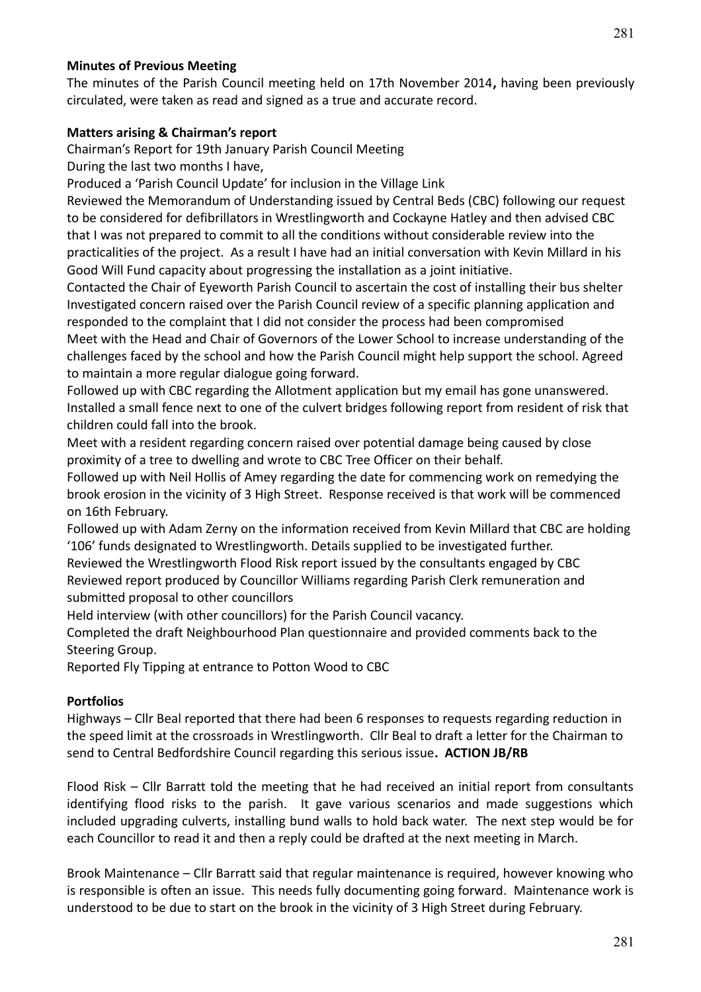### **Minutes of Previous Meeting**

The minutes of the Parish Council meeting held on 17th November 2014**,** having been previously circulated, were taken as read and signed as a true and accurate record.

### **Matters arising & Chairman's report**

Chairman's Report for 19th January Parish Council Meeting

During the last two months I have,

Produced a 'Parish Council Update' for inclusion in the Village Link

Reviewed the Memorandum of Understanding issued by Central Beds (CBC) following our request to be considered for defibrillators in Wrestlingworth and Cockayne Hatley and then advised CBC that I was not prepared to commit to all the conditions without considerable review into the practicalities of the project. As a result I have had an initial conversation with Kevin Millard in his Good Will Fund capacity about progressing the installation as a joint initiative.

Contacted the Chair of Eyeworth Parish Council to ascertain the cost of installing their bus shelter Investigated concern raised over the Parish Council review of a specific planning application and responded to the complaint that I did not consider the process had been compromised

Meet with the Head and Chair of Governors of the Lower School to increase understanding of the challenges faced by the school and how the Parish Council might help support the school. Agreed to maintain a more regular dialogue going forward.

Followed up with CBC regarding the Allotment application but my email has gone unanswered. Installed a small fence next to one of the culvert bridges following report from resident of risk that children could fall into the brook.

Meet with a resident regarding concern raised over potential damage being caused by close proximity of a tree to dwelling and wrote to CBC Tree Officer on their behalf.

Followed up with Neil Hollis of Amey regarding the date for commencing work on remedying the brook erosion in the vicinity of 3 High Street. Response received is that work will be commenced on 16th February.

Followed up with Adam Zerny on the information received from Kevin Millard that CBC are holding '106' funds designated to Wrestlingworth. Details supplied to be investigated further.

Reviewed the Wrestlingworth Flood Risk report issued by the consultants engaged by CBC Reviewed report produced by Councillor Williams regarding Parish Clerk remuneration and submitted proposal to other councillors

Held interview (with other councillors) for the Parish Council vacancy.

Completed the draft Neighbourhood Plan questionnaire and provided comments back to the Steering Group.

Reported Fly Tipping at entrance to Potton Wood to CBC

### **Portfolios**

Highways – Cllr Beal reported that there had been 6 responses to requests regarding reduction in the speed limit at the crossroads in Wrestlingworth. Cllr Beal to draft a letter for the Chairman to send to Central Bedfordshire Council regarding this serious issue**. ACTION JB/RB**

Flood Risk – Cllr Barratt told the meeting that he had received an initial report from consultants identifying flood risks to the parish. It gave various scenarios and made suggestions which included upgrading culverts, installing bund walls to hold back water. The next step would be for each Councillor to read it and then a reply could be drafted at the next meeting in March.

Brook Maintenance – Cllr Barratt said that regular maintenance is required, however knowing who is responsible is often an issue. This needs fully documenting going forward. Maintenance work is understood to be due to start on the brook in the vicinity of 3 High Street during February.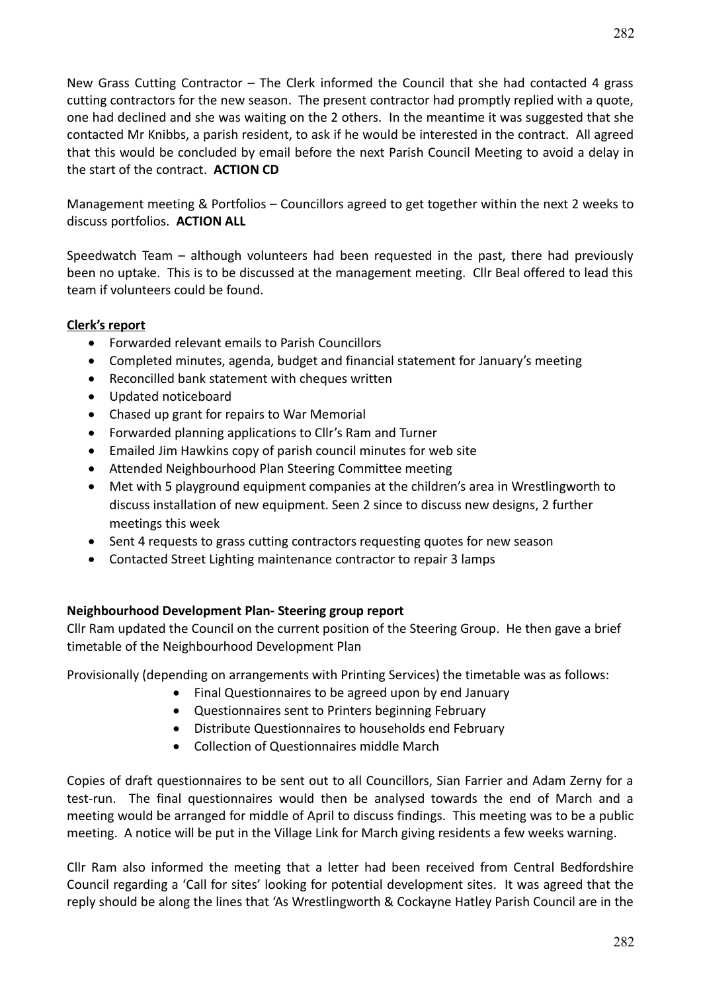New Grass Cutting Contractor – The Clerk informed the Council that she had contacted 4 grass cutting contractors for the new season. The present contractor had promptly replied with a quote, one had declined and she was waiting on the 2 others. In the meantime it was suggested that she contacted Mr Knibbs, a parish resident, to ask if he would be interested in the contract. All agreed that this would be concluded by email before the next Parish Council Meeting to avoid a delay in the start of the contract. **ACTION CD**

Management meeting & Portfolios – Councillors agreed to get together within the next 2 weeks to discuss portfolios. **ACTION ALL**

Speedwatch Team – although volunteers had been requested in the past, there had previously been no uptake. This is to be discussed at the management meeting. Cllr Beal offered to lead this team if volunteers could be found.

### **Clerk's report**

- Forwarded relevant emails to Parish Councillors
- Completed minutes, agenda, budget and financial statement for January's meeting
- Reconcilled bank statement with cheques written
- Updated noticeboard
- Chased up grant for repairs to War Memorial
- Forwarded planning applications to Cllr's Ram and Turner
- Emailed Jim Hawkins copy of parish council minutes for web site
- Attended Neighbourhood Plan Steering Committee meeting
- Met with 5 playground equipment companies at the children's area in Wrestlingworth to discuss installation of new equipment. Seen 2 since to discuss new designs, 2 further meetings this week
- Sent 4 requests to grass cutting contractors requesting quotes for new season
- Contacted Street Lighting maintenance contractor to repair 3 lamps

### **Neighbourhood Development Plan- Steering group report**

Cllr Ram updated the Council on the current position of the Steering Group. He then gave a brief timetable of the Neighbourhood Development Plan

Provisionally (depending on arrangements with Printing Services) the timetable was as follows:

- Final Questionnaires to be agreed upon by end January
- Questionnaires sent to Printers beginning February
- Distribute Questionnaires to households end February
- Collection of Questionnaires middle March

Copies of draft questionnaires to be sent out to all Councillors, Sian Farrier and Adam Zerny for a test-run. The final questionnaires would then be analysed towards the end of March and a meeting would be arranged for middle of April to discuss findings. This meeting was to be a public meeting. A notice will be put in the Village Link for March giving residents a few weeks warning.

Cllr Ram also informed the meeting that a letter had been received from Central Bedfordshire Council regarding a 'Call for sites' looking for potential development sites. It was agreed that the reply should be along the lines that 'As Wrestlingworth & Cockayne Hatley Parish Council are in the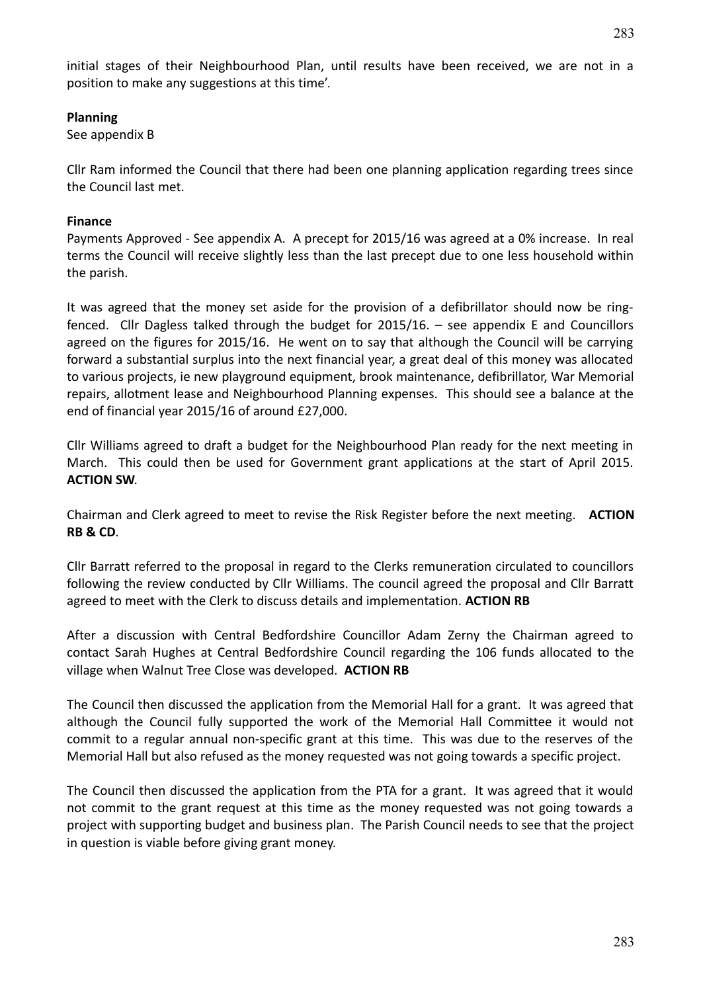initial stages of their Neighbourhood Plan, until results have been received, we are not in a position to make any suggestions at this time'.

### **Planning**

See appendix B

Cllr Ram informed the Council that there had been one planning application regarding trees since the Council last met.

### **Finance**

Payments Approved - See appendix A. A precept for 2015/16 was agreed at a 0% increase. In real terms the Council will receive slightly less than the last precept due to one less household within the parish.

It was agreed that the money set aside for the provision of a defibrillator should now be ringfenced. Cllr Dagless talked through the budget for 2015/16. – see appendix E and Councillors agreed on the figures for 2015/16. He went on to say that although the Council will be carrying forward a substantial surplus into the next financial year, a great deal of this money was allocated to various projects, ie new playground equipment, brook maintenance, defibrillator, War Memorial repairs, allotment lease and Neighbourhood Planning expenses. This should see a balance at the end of financial year 2015/16 of around £27,000.

Cllr Williams agreed to draft a budget for the Neighbourhood Plan ready for the next meeting in March. This could then be used for Government grant applications at the start of April 2015. **ACTION SW**.

Chairman and Clerk agreed to meet to revise the Risk Register before the next meeting. **ACTION RB & CD**.

Cllr Barratt referred to the proposal in regard to the Clerks remuneration circulated to councillors following the review conducted by Cllr Williams. The council agreed the proposal and Cllr Barratt agreed to meet with the Clerk to discuss details and implementation. **ACTION RB**

After a discussion with Central Bedfordshire Councillor Adam Zerny the Chairman agreed to contact Sarah Hughes at Central Bedfordshire Council regarding the 106 funds allocated to the village when Walnut Tree Close was developed. **ACTION RB**

The Council then discussed the application from the Memorial Hall for a grant. It was agreed that although the Council fully supported the work of the Memorial Hall Committee it would not commit to a regular annual non-specific grant at this time. This was due to the reserves of the Memorial Hall but also refused as the money requested was not going towards a specific project.

The Council then discussed the application from the PTA for a grant. It was agreed that it would not commit to the grant request at this time as the money requested was not going towards a project with supporting budget and business plan. The Parish Council needs to see that the project in question is viable before giving grant money.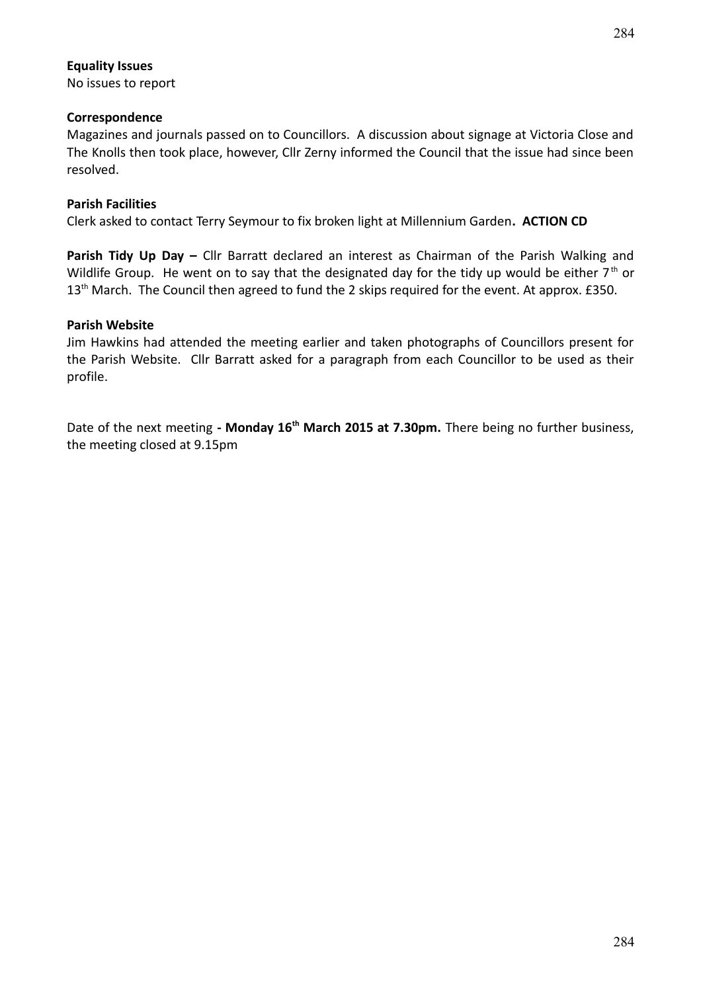#### **Equality Issues**

No issues to report

### **Correspondence**

Magazines and journals passed on to Councillors. A discussion about signage at Victoria Close and The Knolls then took place, however, Cllr Zerny informed the Council that the issue had since been resolved.

### **Parish Facilities**

Clerk asked to contact Terry Seymour to fix broken light at Millennium Garden**. ACTION CD**

**Parish Tidy Up Day –** Cllr Barratt declared an interest as Chairman of the Parish Walking and Wildlife Group. He went on to say that the designated day for the tidy up would be either  $7<sup>th</sup>$  or 13<sup>th</sup> March. The Council then agreed to fund the 2 skips required for the event. At approx. £350.

#### **Parish Website**

Jim Hawkins had attended the meeting earlier and taken photographs of Councillors present for the Parish Website. Cllr Barratt asked for a paragraph from each Councillor to be used as their profile.

Date of the next meeting **- Monday 16th March 2015 at 7.30pm.** There being no further business, the meeting closed at 9.15pm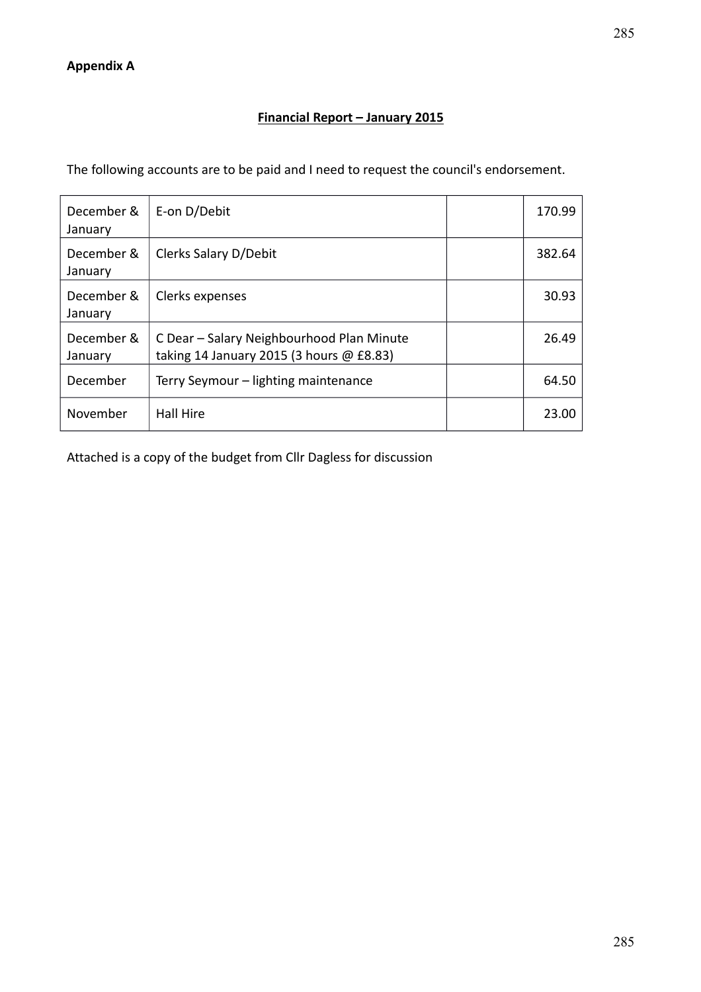### **Financial Report – January 2015**

The following accounts are to be paid and I need to request the council's endorsement.

| December &<br>January | E-on D/Debit                                                                          | 170.99 |
|-----------------------|---------------------------------------------------------------------------------------|--------|
| December &<br>January | Clerks Salary D/Debit                                                                 | 382.64 |
| December &<br>January | Clerks expenses                                                                       | 30.93  |
| December &<br>January | C Dear - Salary Neighbourhood Plan Minute<br>taking 14 January 2015 (3 hours @ £8.83) | 26.49  |
| December              | Terry Seymour - lighting maintenance                                                  | 64.50  |
| November              | Hall Hire                                                                             | 23.00  |

Attached is a copy of the budget from Cllr Dagless for discussion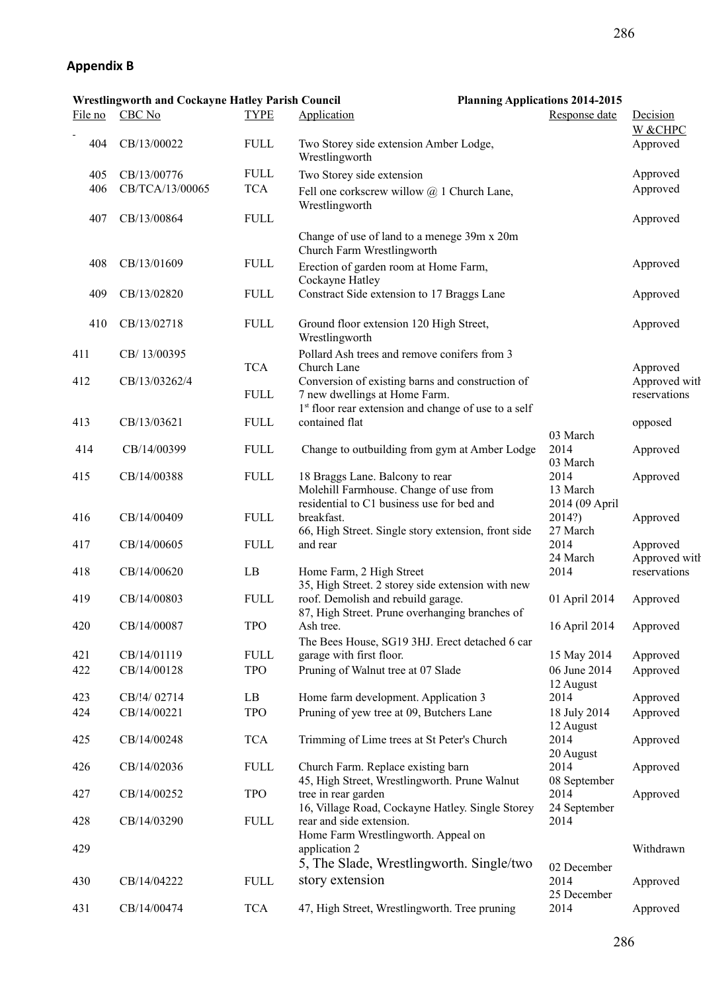# **Appendix B**

|         | <b>Wrestlingworth and Cockayne Hatley Parish Council</b> |              | <b>Planning Applications 2014-2015</b>                                                                                                    |                                      |                               |
|---------|----------------------------------------------------------|--------------|-------------------------------------------------------------------------------------------------------------------------------------------|--------------------------------------|-------------------------------|
| File no | CBC No                                                   | <b>TYPE</b>  | Application                                                                                                                               | Response date                        | Decision<br>W &CHPC           |
| 404     | CB/13/00022                                              | <b>FULL</b>  | Two Storey side extension Amber Lodge,<br>Wrestlingworth                                                                                  |                                      | Approved                      |
| 405     | CB/13/00776                                              | <b>FULL</b>  | Two Storey side extension                                                                                                                 |                                      | Approved                      |
| 406     | CB/TCA/13/00065                                          | <b>TCA</b>   | Fell one corkscrew willow $@$ 1 Church Lane,<br>Wrestlingworth                                                                            |                                      | Approved                      |
| 407     | CB/13/00864                                              | <b>FULL</b>  |                                                                                                                                           |                                      | Approved                      |
|         |                                                          |              | Change of use of land to a menege 39m x 20m<br>Church Farm Wrestlingworth                                                                 |                                      |                               |
| 408     | CB/13/01609                                              | ${\rm FULL}$ | Erection of garden room at Home Farm,<br>Cockayne Hatley                                                                                  |                                      | Approved                      |
| 409     | CB/13/02820                                              | <b>FULL</b>  | Constract Side extension to 17 Braggs Lane                                                                                                |                                      | Approved                      |
| 410     | CB/13/02718                                              | <b>FULL</b>  | Ground floor extension 120 High Street,<br>Wrestlingworth                                                                                 |                                      | Approved                      |
| 411     | CB/13/00395                                              | <b>TCA</b>   | Pollard Ash trees and remove conifers from 3<br>Church Lane                                                                               |                                      | Approved                      |
| 412     | CB/13/03262/4                                            | <b>FULL</b>  | Conversion of existing barns and construction of<br>7 new dwellings at Home Farm.                                                         |                                      | Approved witl<br>reservations |
| 413     | CB/13/03621                                              | <b>FULL</b>  | 1 <sup>st</sup> floor rear extension and change of use to a self<br>contained flat                                                        |                                      | opposed                       |
| 414     | CB/14/00399                                              | <b>FULL</b>  | Change to outbuilding from gym at Amber Lodge                                                                                             | 03 March<br>2014<br>03 March         | Approved                      |
| 415     | CB/14/00388                                              | ${\rm FULL}$ | 18 Braggs Lane. Balcony to rear<br>Molehill Farmhouse. Change of use from                                                                 | 2014<br>13 March                     | Approved                      |
| 416     | CB/14/00409                                              | <b>FULL</b>  | residential to C1 business use for bed and<br>breakfast.<br>66, High Street. Single story extension, front side                           | 2014 (09 April<br>2014?)<br>27 March | Approved                      |
| 417     | CB/14/00605                                              | <b>FULL</b>  | and rear                                                                                                                                  | 2014<br>24 March                     | Approved<br>Approved witl     |
| 418     | CB/14/00620                                              | LB           | Home Farm, 2 High Street                                                                                                                  | 2014                                 | reservations                  |
| 419     | CB/14/00803                                              | <b>FULL</b>  | 35, High Street. 2 storey side extension with new<br>roof. Demolish and rebuild garage.<br>87, High Street. Prune overhanging branches of | 01 April 2014                        | Approved                      |
| 420     | CB/14/00087                                              | <b>TPO</b>   | Ash tree.                                                                                                                                 | 16 April 2014 Approved               |                               |
| 421     | CB/14/01119                                              | ${\rm FULL}$ | The Bees House, SG19 3HJ. Erect detached 6 car<br>garage with first floor.                                                                | 15 May 2014                          | Approved                      |
| 422     | CB/14/00128                                              | <b>TPO</b>   | Pruning of Walnut tree at 07 Slade                                                                                                        | 06 June 2014<br>12 August            | Approved                      |
| 423     | CB/!4/02714                                              | LB           | Home farm development. Application 3                                                                                                      | 2014                                 | Approved                      |
| 424     | CB/14/00221                                              | <b>TPO</b>   | Pruning of yew tree at 09, Butchers Lane                                                                                                  | 18 July 2014<br>12 August            | Approved                      |
| 425     | CB/14/00248                                              | <b>TCA</b>   | Trimming of Lime trees at St Peter's Church                                                                                               | 2014                                 | Approved                      |
| 426     | CB/14/02036                                              | ${\rm FULL}$ | Church Farm. Replace existing barn                                                                                                        | 20 August<br>2014                    | Approved                      |
| 427     | CB/14/00252                                              | <b>TPO</b>   | 45, High Street, Wrestlingworth. Prune Walnut<br>tree in rear garden<br>16, Village Road, Cockayne Hatley. Single Storey                  | 08 September<br>2014                 | Approved                      |
| 428     | CB/14/03290                                              | ${\rm FULL}$ | rear and side extension.                                                                                                                  | 24 September<br>2014                 |                               |
| 429     |                                                          |              | Home Farm Wrestlingworth. Appeal on<br>application 2                                                                                      |                                      | Withdrawn                     |
| 430     | CB/14/04222                                              | <b>FULL</b>  | 5, The Slade, Wrestlingworth. Single/two<br>story extension                                                                               | 02 December<br>2014                  | Approved                      |
|         |                                                          |              |                                                                                                                                           | 25 December                          |                               |
| 431     | CB/14/00474                                              | <b>TCA</b>   | 47, High Street, Wrestlingworth. Tree pruning                                                                                             | 2014                                 | Approved                      |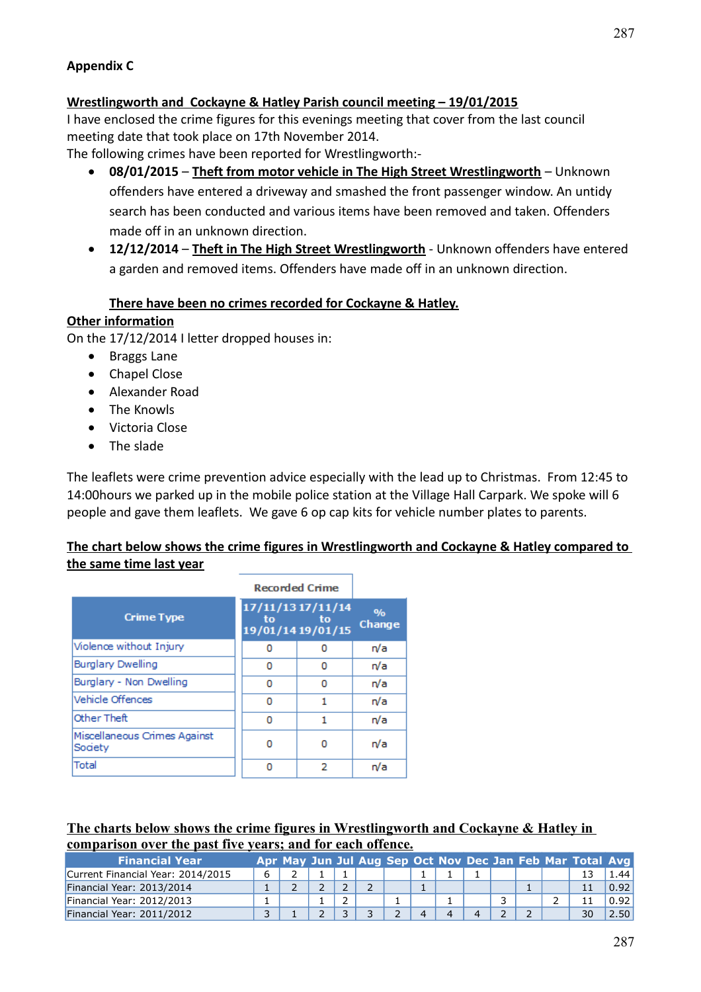### **Appendix C**

### **Wrestlingworth and Cockayne & Hatley Parish council meeting – 19/01/2015**

I have enclosed the crime figures for this evenings meeting that cover from the last council meeting date that took place on 17th November 2014.

The following crimes have been reported for Wrestlingworth:-

- **08/01/2015 Theft from motor vehicle in The High Street Wrestlingworth** Unknown offenders have entered a driveway and smashed the front passenger window. An untidy search has been conducted and various items have been removed and taken. Offenders made off in an unknown direction.
- **12/12/2014 Theft in The High Street Wrestlingworth** Unknown offenders have entered a garden and removed items. Offenders have made off in an unknown direction.

### **There have been no crimes recorded for Cockayne & Hatley.**

### **Other information**

On the 17/12/2014 I letter dropped houses in:

- Braggs Lane
- Chapel Close
- Alexander Road
- The Knowls
- Victoria Close
- The slade

The leaflets were crime prevention advice especially with the lead up to Christmas. From 12:45 to 14:00hours we parked up in the mobile police station at the Village Hall Carpark. We spoke will 6 people and gave them leaflets. We gave 6 op cap kits for vehicle number plates to parents.

### **The chart below shows the crime figures in Wrestlingworth and Cockayne & Hatley compared to the same time last year**

|                                         | <b>Recorded Crime</b> |                                              |                   |
|-----------------------------------------|-----------------------|----------------------------------------------|-------------------|
| <b>Crime Type</b>                       | to                    | 17/11/13 17/11/14<br>tο<br>19/01/14 19/01/15 | $O/p_0$<br>Change |
| Violence without Injury                 | 0                     | 0                                            | n/a               |
| <b>Burglary Dwelling</b>                | 0                     | 0                                            | n/a               |
| Burglary - Non Dwelling                 | 0                     | 0                                            | n/a               |
| Vehicle Offences                        | ٥                     | 1                                            | n/a               |
| Other Theft                             | ٥                     | 1                                            | n/a               |
| Miscellaneous Crimes Against<br>Society | ٥                     | 0                                            | n/a               |
| Total                                   | ٥                     | 2                                            | n/a               |

#### **The charts below shows the crime figures in Wrestlingworth and Cockayne & Hatley in comparison over the past five years; and for each offence.**

| <b>Financial Year</b>             |   |  |  |  |  |  | Apr May Jun Jul Aug Sep Oct Nov Dec Jan Feb Mar Total Avg |      |
|-----------------------------------|---|--|--|--|--|--|-----------------------------------------------------------|------|
| Current Financial Year: 2014/2015 | 6 |  |  |  |  |  |                                                           | 1.44 |
| Financial Year: 2013/2014         |   |  |  |  |  |  | 11                                                        | 0.92 |
| Financial Year: 2012/2013         |   |  |  |  |  |  |                                                           | 0.92 |
| Financial Year: 2011/2012         |   |  |  |  |  |  | 30                                                        | 2.50 |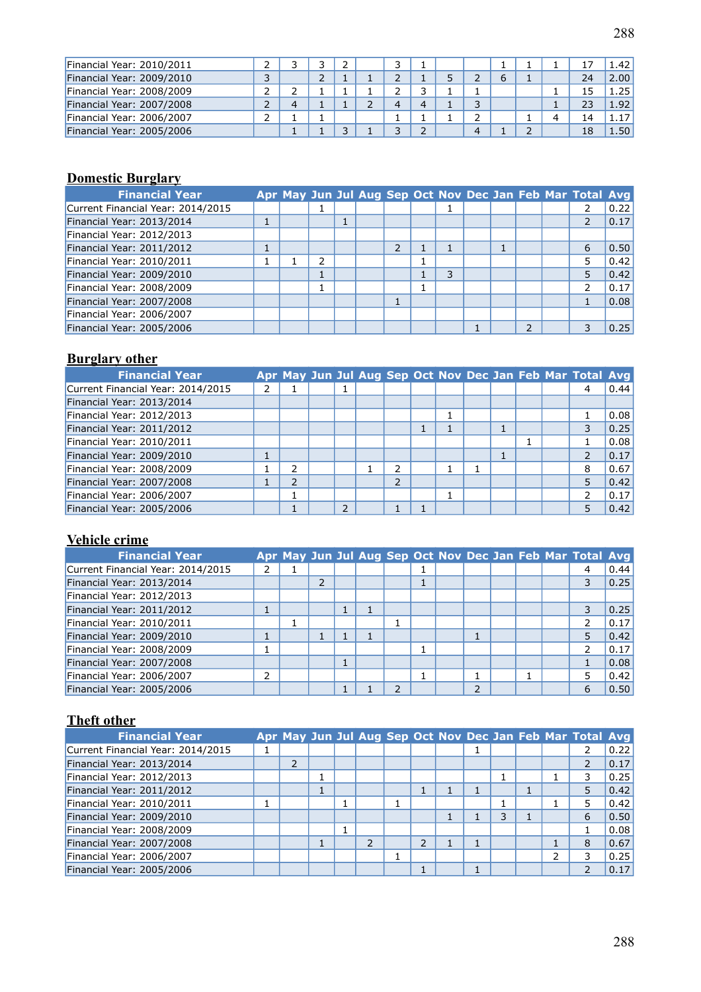| Financial Year: 2010/2011 | ∸ |  |  |  |   |  |    | 1.42         |
|---------------------------|---|--|--|--|---|--|----|--------------|
| Financial Year: 2009/2010 | ر |  |  |  |   |  | 24 | 2.00         |
| Financial Year: 2008/2009 | ∸ |  |  |  |   |  |    | 1.25         |
| Financial Year: 2007/2008 | ∸ |  |  |  | っ |  | 23 | 1.92         |
| Financial Year: 2006/2007 | ∸ |  |  |  | ∍ |  | 14 | 1.17         |
| Financial Year: 2005/2006 |   |  |  |  |   |  | 18 | $\ldots$ 50' |

# **Domestic Burglary**

| <b>Financial Year</b>             |   |   |  |   |   |  |  | Apr May Jun Jul Aug Sep Oct Nov Dec Jan Feb Mar Total Avg |      |
|-----------------------------------|---|---|--|---|---|--|--|-----------------------------------------------------------|------|
| Current Financial Year: 2014/2015 |   |   |  |   |   |  |  |                                                           | 0.22 |
| Financial Year: 2013/2014         | 1 |   |  |   |   |  |  | $\overline{2}$                                            | 0.17 |
| Financial Year: 2012/2013         |   |   |  |   |   |  |  |                                                           |      |
| Financial Year: 2011/2012         | Ŧ |   |  | 2 |   |  |  | 6                                                         | 0.50 |
| Financial Year: 2010/2011         |   | っ |  |   |   |  |  | 5                                                         | 0.42 |
| Financial Year: 2009/2010         |   |   |  |   | 3 |  |  | 5                                                         | 0.42 |
| Financial Year: 2008/2009         |   |   |  |   |   |  |  | フ                                                         | 0.17 |
| Financial Year: 2007/2008         |   |   |  |   |   |  |  |                                                           | 0.08 |
| Financial Year: 2006/2007         |   |   |  |   |   |  |  |                                                           |      |
| Financial Year: 2005/2006         |   |   |  |   |   |  |  | 3                                                         | 0.25 |

### **Burglary other**

| <b>Financial Year</b>             |   |               |               |               |  |  |  | Apr May Jun Jul Aug Sep Oct Nov Dec Jan Feb Mar Total Avg |      |
|-----------------------------------|---|---------------|---------------|---------------|--|--|--|-----------------------------------------------------------|------|
| Current Financial Year: 2014/2015 | 2 |               |               |               |  |  |  | 4                                                         | 0.44 |
| Financial Year: 2013/2014         |   |               |               |               |  |  |  |                                                           |      |
| Financial Year: 2012/2013         |   |               |               |               |  |  |  |                                                           | 0.08 |
| Financial Year: 2011/2012         |   |               |               |               |  |  |  |                                                           | 0.25 |
| Financial Year: 2010/2011         |   |               |               |               |  |  |  |                                                           | 0.08 |
| Financial Year: 2009/2010         |   |               |               |               |  |  |  |                                                           | 0.17 |
| Financial Year: 2008/2009         |   | $\mathcal{P}$ |               | $\mathcal{P}$ |  |  |  | 8                                                         | 0.67 |
| Financial Year: 2007/2008         |   | ∍             |               | 2             |  |  |  | 5                                                         | 0.42 |
| Financial Year: 2006/2007         |   |               |               |               |  |  |  |                                                           | 0.17 |
| Financial Year: 2005/2006         |   |               | $\mathcal{D}$ |               |  |  |  | 5                                                         | 0.42 |

### **Vehicle crime**

| <b>Financial Year</b>             |   |  |  |  |   |  | Apr May Jun Jul Aug Sep Oct Nov Dec Jan Feb Mar Total Avg |      |
|-----------------------------------|---|--|--|--|---|--|-----------------------------------------------------------|------|
| Current Financial Year: 2014/2015 | 2 |  |  |  |   |  | 4                                                         | 0.44 |
| Financial Year: 2013/2014         |   |  |  |  |   |  | 3                                                         | 0.25 |
| Financial Year: 2012/2013         |   |  |  |  |   |  |                                                           |      |
| Financial Year: 2011/2012         |   |  |  |  |   |  | 3                                                         | 0.25 |
| Financial Year: 2010/2011         |   |  |  |  |   |  | ∍                                                         | 0.17 |
| Financial Year: 2009/2010         | 1 |  |  |  |   |  | 5                                                         | 0.42 |
| Financial Year: 2008/2009         |   |  |  |  |   |  | 2                                                         | 0.17 |
| Financial Year: 2007/2008         |   |  |  |  |   |  |                                                           | 0.08 |
| Financial Year: 2006/2007         | 2 |  |  |  |   |  | 5                                                         | 0.42 |
| Financial Year: 2005/2006         |   |  |  |  | っ |  | 6                                                         | 0.50 |

### **Theft other**

| <b>Financial Year</b>             |   |  |               |                |  |   |   | Apr May Jun Jul Aug Sep Oct Nov Dec Jan Feb Mar Total Avg |      |
|-----------------------------------|---|--|---------------|----------------|--|---|---|-----------------------------------------------------------|------|
| Current Financial Year: 2014/2015 |   |  |               |                |  |   |   |                                                           | 0.22 |
| Financial Year: 2013/2014         | フ |  |               |                |  |   |   |                                                           | 0.17 |
| Financial Year: 2012/2013         |   |  |               |                |  |   |   | 3                                                         | 0.25 |
| Financial Year: 2011/2012         |   |  |               |                |  |   |   | 5                                                         | 0.42 |
| Financial Year: 2010/2011         |   |  |               |                |  |   |   | 5                                                         | 0.42 |
| Financial Year: 2009/2010         |   |  |               |                |  | 3 |   | 6                                                         | 0.50 |
| Financial Year: 2008/2009         |   |  |               |                |  |   |   |                                                           | 0.08 |
| Financial Year: 2007/2008         |   |  | $\mathcal{P}$ | $\overline{2}$ |  |   |   | 8                                                         | 0.67 |
| Financial Year: 2006/2007         |   |  |               |                |  |   | 2 | 3                                                         | 0.25 |
| Financial Year: 2005/2006         |   |  |               |                |  |   |   |                                                           | 0.17 |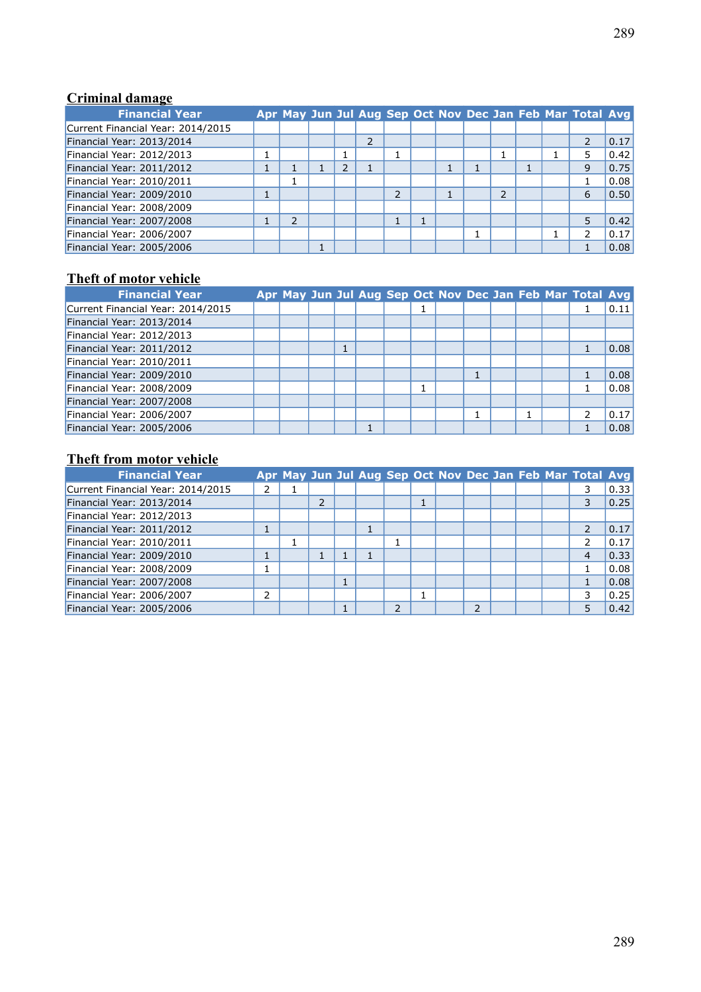### **Criminal damage**

| <b>Financial Year</b>             |                          |  |   |    |  |                |  | Apr May Jun Jul Aug Sep Oct Nov Dec Jan Feb Mar Total Avg |      |
|-----------------------------------|--------------------------|--|---|----|--|----------------|--|-----------------------------------------------------------|------|
| Current Financial Year: 2014/2015 |                          |  |   |    |  |                |  |                                                           |      |
| Financial Year: 2013/2014         |                          |  | 2 |    |  |                |  |                                                           | 0.17 |
| Financial Year: 2012/2013         |                          |  |   |    |  |                |  | 5                                                         | 0.42 |
| Financial Year: 2011/2012         |                          |  |   |    |  |                |  | 9                                                         | 0.75 |
| Financial Year: 2010/2011         |                          |  |   |    |  |                |  |                                                           | 0.08 |
| Financial Year: 2009/2010         |                          |  |   | C. |  | $\overline{2}$ |  | 6                                                         | 0.50 |
| Financial Year: 2008/2009         |                          |  |   |    |  |                |  |                                                           |      |
| Financial Year: 2007/2008         | $\overline{\phantom{a}}$ |  |   |    |  |                |  | 5                                                         | 0.42 |
| Financial Year: 2006/2007         |                          |  |   |    |  |                |  | 2                                                         | 0.17 |
| Financial Year: 2005/2006         |                          |  |   |    |  |                |  |                                                           | 0.08 |

### **Theft of motor vehicle**

| <b>Financial Year</b>             |  |  |  |  |  |  | Apr May Jun Jul Aug Sep Oct Nov Dec Jan Feb Mar Total Avg |      |
|-----------------------------------|--|--|--|--|--|--|-----------------------------------------------------------|------|
| Current Financial Year: 2014/2015 |  |  |  |  |  |  |                                                           | 0.11 |
| Financial Year: 2013/2014         |  |  |  |  |  |  |                                                           |      |
| Financial Year: 2012/2013         |  |  |  |  |  |  |                                                           |      |
| Financial Year: 2011/2012         |  |  |  |  |  |  |                                                           | 0.08 |
| Financial Year: 2010/2011         |  |  |  |  |  |  |                                                           |      |
| Financial Year: 2009/2010         |  |  |  |  |  |  |                                                           | 0.08 |
| Financial Year: 2008/2009         |  |  |  |  |  |  |                                                           | 0.08 |
| Financial Year: 2007/2008         |  |  |  |  |  |  |                                                           |      |
| Financial Year: 2006/2007         |  |  |  |  |  |  |                                                           | 0.17 |
| Financial Year: 2005/2006         |  |  |  |  |  |  |                                                           | 0.08 |

### **Theft from motor vehicle**

| <b>Financial Year</b>             |   |  |  |  |    |  | Apr May Jun Jul Aug Sep Oct Nov Dec Jan Feb Mar Total Avg |      |
|-----------------------------------|---|--|--|--|----|--|-----------------------------------------------------------|------|
| Current Financial Year: 2014/2015 |   |  |  |  |    |  |                                                           | 0.33 |
| Financial Year: 2013/2014         |   |  |  |  |    |  | 3                                                         | 0.25 |
| Financial Year: 2012/2013         |   |  |  |  |    |  |                                                           |      |
| Financial Year: 2011/2012         |   |  |  |  |    |  | C                                                         | 0.17 |
| Financial Year: 2010/2011         |   |  |  |  |    |  |                                                           | 0.17 |
| Financial Year: 2009/2010         |   |  |  |  |    |  | 4                                                         | 0.33 |
| Financial Year: 2008/2009         |   |  |  |  |    |  |                                                           | 0.08 |
| Financial Year: 2007/2008         |   |  |  |  |    |  |                                                           | 0.08 |
| Financial Year: 2006/2007         | 2 |  |  |  |    |  | 3                                                         | 0.25 |
| Financial Year: 2005/2006         |   |  |  |  | J. |  | 5                                                         | 0.42 |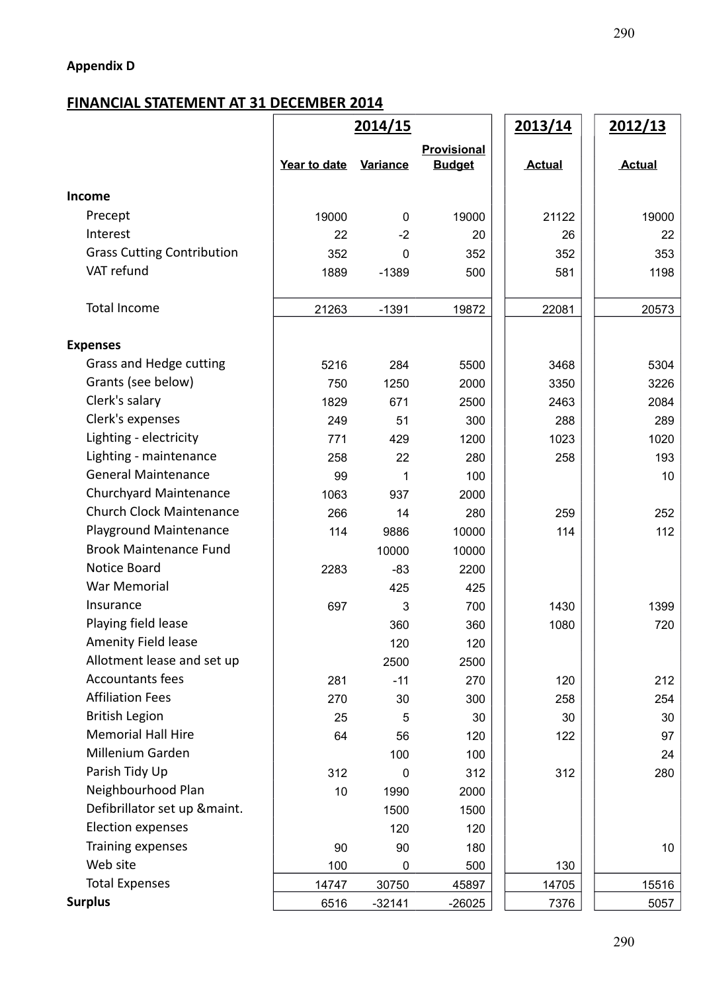# **FINANCIAL STATEMENT AT 31 DECEMBER 2014**

|                                   | 2014/15      |                 |                              | 2013/14       | 2012/13       |  |
|-----------------------------------|--------------|-----------------|------------------------------|---------------|---------------|--|
|                                   | Year to date | <b>Variance</b> | Provisional<br><b>Budget</b> | <b>Actual</b> | <b>Actual</b> |  |
| <b>Income</b>                     |              |                 |                              |               |               |  |
| Precept                           | 19000        | $\mathbf 0$     | 19000                        | 21122         | 19000         |  |
| Interest                          | 22           | $-2$            | 20                           | 26            | 22            |  |
| <b>Grass Cutting Contribution</b> | 352          | $\Omega$        | 352                          | 352           | 353           |  |
| VAT refund                        | 1889         | $-1389$         | 500                          | 581           | 1198          |  |
| <b>Total Income</b>               | 21263        | $-1391$         | 19872                        | 22081         | 20573         |  |
| <b>Expenses</b>                   |              |                 |                              |               |               |  |
| Grass and Hedge cutting           | 5216         | 284             | 5500                         | 3468          | 5304          |  |
| Grants (see below)                | 750          | 1250            | 2000                         | 3350          | 3226          |  |
| Clerk's salary                    | 1829         | 671             | 2500                         | 2463          | 2084          |  |
| Clerk's expenses                  | 249          | 51              | 300                          | 288           | 289           |  |
| Lighting - electricity            | 771          | 429             | 1200                         | 1023          | 1020          |  |
| Lighting - maintenance            | 258          | 22              | 280                          | 258           | 193           |  |
| <b>General Maintenance</b>        | 99           | 1               | 100                          |               | 10            |  |
| Churchyard Maintenance            | 1063         | 937             | 2000                         |               |               |  |
| <b>Church Clock Maintenance</b>   | 266          | 14              | 280                          | 259           | 252           |  |
| <b>Playground Maintenance</b>     | 114          | 9886            | 10000                        | 114           | 112           |  |
| <b>Brook Maintenance Fund</b>     |              | 10000           | 10000                        |               |               |  |
| Notice Board                      | 2283         | $-83$           | 2200                         |               |               |  |
| War Memorial                      |              | 425             | 425                          |               |               |  |
| Insurance                         | 697          | 3               | 700                          | 1430          | 1399          |  |
| Playing field lease               |              | 360             | 360                          | 1080          | 720           |  |
| <b>Amenity Field lease</b>        |              | 120             | 120                          |               |               |  |
| Allotment lease and set up        |              | 2500            | 2500                         |               |               |  |
| <b>Accountants fees</b>           | 281          | $-11$           | 270                          | 120           | 212           |  |
| <b>Affiliation Fees</b>           | 270          | 30              | 300                          | 258           | 254           |  |
| <b>British Legion</b>             | 25           | 5               | 30                           | 30            | 30            |  |
| <b>Memorial Hall Hire</b>         | 64           | 56              | 120                          | 122           | 97            |  |
| Millenium Garden                  |              | 100             | 100                          |               | 24            |  |
| Parish Tidy Up                    | 312          | $\mathbf 0$     | 312                          | 312           | 280           |  |
| Neighbourhood Plan                | 10           | 1990            | 2000                         |               |               |  |
| Defibrillator set up &maint.      |              | 1500            | 1500                         |               |               |  |
| Election expenses                 |              | 120             | 120                          |               |               |  |
| Training expenses                 | 90           | 90              | 180                          |               | 10            |  |
| Web site                          | 100          | 0               | 500                          | 130           |               |  |
| <b>Total Expenses</b>             | 14747        | 30750           | 45897                        | 14705         | 15516         |  |
| <b>Surplus</b>                    | 6516         | $-32141$        | $-26025$                     | 7376          | 5057          |  |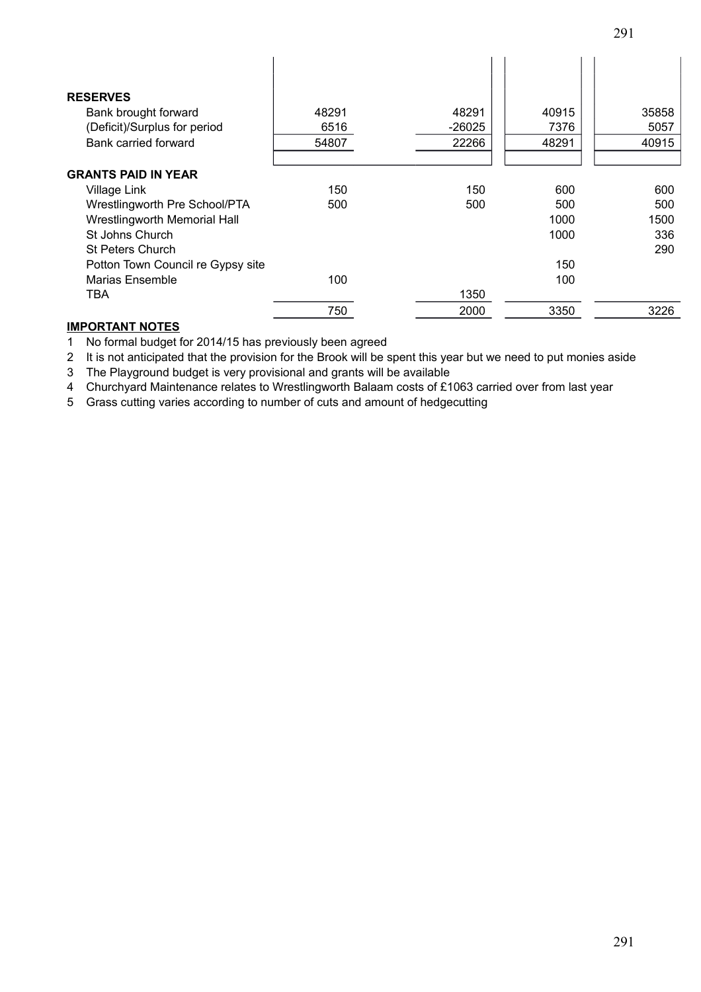| <b>RESERVES</b>                   |       |        |       |       |
|-----------------------------------|-------|--------|-------|-------|
| Bank brought forward              | 48291 | 48291  | 40915 | 35858 |
| (Deficit)/Surplus for period      | 6516  | -26025 | 7376  | 5057  |
| Bank carried forward              | 54807 | 22266  | 48291 | 40915 |
|                                   |       |        |       |       |
| <b>GRANTS PAID IN YEAR</b>        |       |        |       |       |
| Village Link                      | 150   | 150    | 600   | 600   |
| Wrestlingworth Pre School/PTA     | 500   | 500    | 500   | 500   |
| Wrestlingworth Memorial Hall      |       |        | 1000  | 1500  |
| St Johns Church                   |       |        | 1000  | 336   |
| <b>St Peters Church</b>           |       |        |       | 290   |
| Potton Town Council re Gypsy site |       |        | 150   |       |
| Marias Ensemble                   | 100   |        | 100   |       |
| TBA                               |       | 1350   |       |       |
|                                   | 750   | 2000   | 3350  | 3226  |

#### **IMPORTANT NOTES**

1 No formal budget for 2014/15 has previously been agreed

2 It is not anticipated that the provision for the Brook will be spent this year but we need to put monies aside

3 The Playground budget is very provisional and grants will be available

4 Churchyard Maintenance relates to Wrestlingworth Balaam costs of £1063 carried over from last year

5 Grass cutting varies according to number of cuts and amount of hedgecutting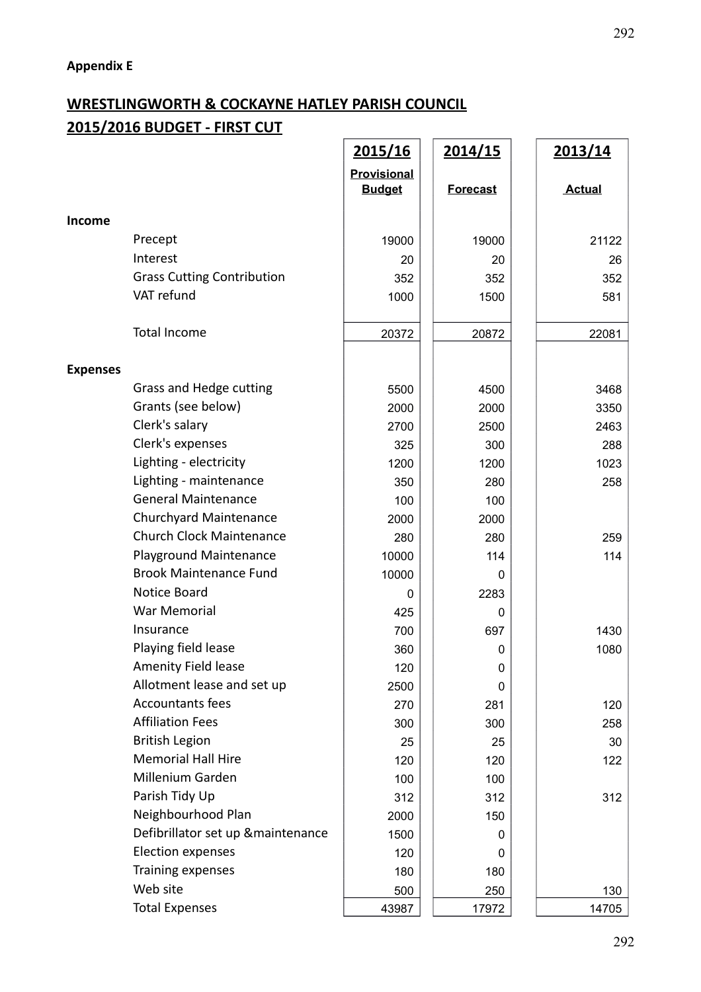#### **WRESTLINGWORTH & COCKAYNE HATLEY PARISH COUNCIL 2015/2016 BUDGET - FIRST CUT**  $\mathbf{r}$

|                 |                                    | 2015/16                      | <u>2014/15</u>  | 2013/14       |
|-----------------|------------------------------------|------------------------------|-----------------|---------------|
|                 |                                    | Provisional<br><b>Budget</b> | <b>Forecast</b> | <b>Actual</b> |
| <b>Income</b>   |                                    |                              |                 |               |
|                 | Precept                            | 19000                        | 19000           | 21122         |
|                 | Interest                           | 20                           | 20              | 26            |
|                 | <b>Grass Cutting Contribution</b>  | 352                          | 352             | 352           |
|                 | VAT refund                         | 1000                         | 1500            | 581           |
|                 | <b>Total Income</b>                | 20372                        | 20872           | 22081         |
| <b>Expenses</b> |                                    |                              |                 |               |
|                 | Grass and Hedge cutting            | 5500                         | 4500            | 3468          |
|                 | Grants (see below)                 | 2000                         | 2000            | 3350          |
|                 | Clerk's salary                     | 2700                         | 2500            | 2463          |
|                 | Clerk's expenses                   | 325                          | 300             | 288           |
|                 | Lighting - electricity             | 1200                         | 1200            | 1023          |
|                 | Lighting - maintenance             | 350                          | 280             | 258           |
|                 | <b>General Maintenance</b>         | 100                          | 100             |               |
|                 | Churchyard Maintenance             | 2000                         | 2000            |               |
|                 | <b>Church Clock Maintenance</b>    | 280                          | 280             | 259           |
|                 | Playground Maintenance             | 10000                        | 114             | 114           |
|                 | <b>Brook Maintenance Fund</b>      | 10000                        | n               |               |
|                 | Notice Board                       | 0                            | 2283            |               |
|                 | War Memorial                       | 425                          | 0               |               |
|                 | Insurance                          | 700                          | 697             | 1430          |
|                 | Playing field lease                | 360                          | 0               | 1080          |
|                 | Amenity Field lease                | 120                          | 0               |               |
|                 | Allotment lease and set up         | 2500                         | 0               |               |
|                 | <b>Accountants fees</b>            | 270                          | 281             | 120           |
|                 | <b>Affiliation Fees</b>            | 300                          | 300             | 258           |
|                 | <b>British Legion</b>              | 25                           | 25              | 30            |
|                 | <b>Memorial Hall Hire</b>          | 120                          | 120             | 122           |
|                 | Millenium Garden                   | 100                          | 100             |               |
|                 | Parish Tidy Up                     | 312                          | 312             | 312           |
|                 | Neighbourhood Plan                 | 2000                         | 150             |               |
|                 | Defibrillator set up & maintenance | 1500                         | 0               |               |
|                 | <b>Election expenses</b>           | 120                          | 0               |               |
|                 | Training expenses                  | 180                          | 180             |               |
|                 | Web site                           | 500                          | 250             | 130           |
|                 | <b>Total Expenses</b>              | 43987                        | 17972           | 14705         |